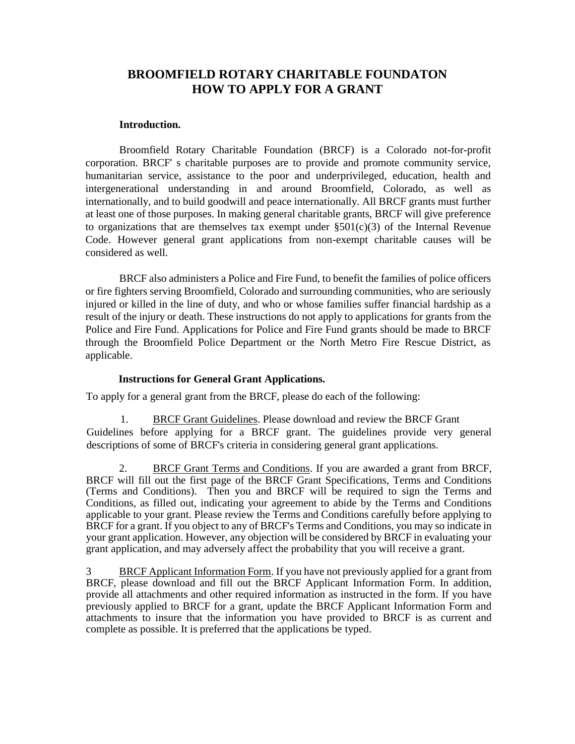## **BROOMFIELD ROTARY CHARITABLE FOUNDATON HOW TO APPLY FOR A GRANT**

## **Introduction.**

Broomfield Rotary Charitable Foundation (BRCF) is a Colorado not-for-profit corporation. BRCF' s charitable purposes are to provide and promote community service, humanitarian service, assistance to the poor and underprivileged, education, health and intergenerational understanding in and around Broomfield, Colorado, as well as internationally, and to build goodwill and peace internationally. All BRCF grants must further at least one of those purposes. In making general charitable grants, BRCF will give preference to organizations that are themselves tax exempt under  $\S501(c)(3)$  of the Internal Revenue Code. However general grant applications from non-exempt charitable causes will be considered as well.

BRCF also administers a Police and Fire Fund, to benefit the families of police officers or fire fighters serving Broomfield, Colorado and surrounding communities, who are seriously injured or killed in the line of duty, and who or whose families suffer financial hardship as a result of the injury or death. These instructions do not apply to applications for grants from the Police and Fire Fund. Applications for Police and Fire Fund grants should be made to BRCF through the Broomfield Police Department or the North Metro Fire Rescue District, as applicable.

## **Instructions for General Grant Applications.**

To apply for a general grant from the BRCF, please do each of the following:

1. BRCF Grant Guidelines. Please download and review the BRCF Grant Guidelines before applying for a BRCF grant. The guidelines provide very general descriptions of some of BRCF's criteria in considering general grant applications.

2. BRCF Grant Terms and Conditions. If you are awarded a grant from BRCF, BRCF will fill out the first page of the BRCF Grant Specifications, Terms and Conditions (Terms and Conditions). Then you and BRCF will be required to sign the Terms and Conditions, as filled out, indicating your agreement to abide by the Terms and Conditions applicable to your grant. Please review the Terms and Conditions carefully before applying to BRCF for a grant. If you object to any of BRCF's Terms and Conditions, you may so indicate in your grant application. However, any objection will be considered by BRCF in evaluating your grant application, and may adversely affect the probability that you will receive a grant.

3 BRCF Applicant Information Form. If you have not previously applied for a grant from BRCF, please download and fill out the BRCF Applicant Information Form. In addition, provide all attachments and other required information as instructed in the form. If you have previously applied to BRCF for a grant, update the BRCF Applicant Information Form and attachments to insure that the information you have provided to BRCF is as current and complete as possible. It is preferred that the applications be typed.